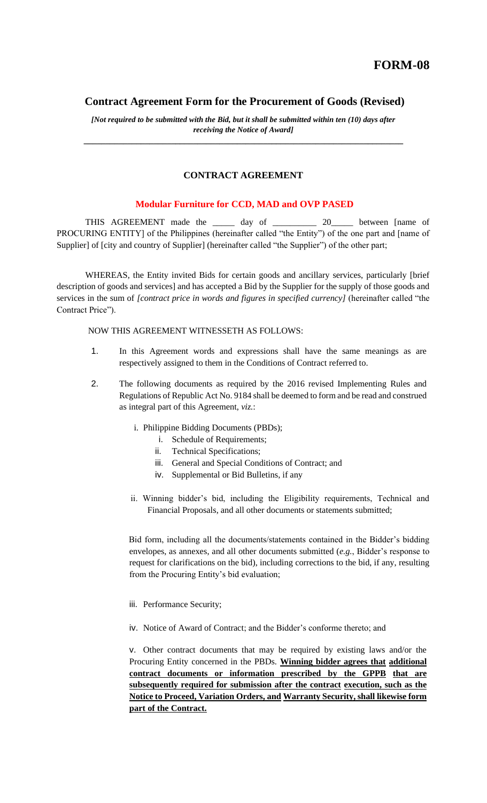## **Contract Agreement Form for the Procurement of Goods (Revised)**

*[Not required to be submitted with the Bid, but it shall be submitted within ten (10) days after receiving the Notice of Award] \_\_\_\_\_\_\_\_\_\_\_\_\_\_\_\_\_\_\_\_\_\_\_\_\_\_\_\_\_\_\_\_\_\_\_\_\_\_\_\_\_\_\_\_\_\_\_\_\_\_\_\_\_\_\_\_\_\_\_\_\_\_\_\_\_\_\_\_\_\_\_\_\_*

## **CONTRACT AGREEMENT**

## **Modular Furniture for CCD, MAD and OVP PASED**

THIS AGREEMENT made the \_\_\_\_\_ day of \_\_\_\_\_\_\_\_\_\_\_ 20\_\_\_\_\_ between [name of PROCURING ENTITY] of the Philippines (hereinafter called "the Entity") of the one part and [name of Supplier] of [city and country of Supplier] (hereinafter called "the Supplier") of the other part;

WHEREAS, the Entity invited Bids for certain goods and ancillary services, particularly [brief description of goods and services] and has accepted a Bid by the Supplier for the supply of those goods and services in the sum of *[contract price in words and figures in specified currency]* (hereinafter called "the Contract Price").

## NOW THIS AGREEMENT WITNESSETH AS FOLLOWS:

- 1. In this Agreement words and expressions shall have the same meanings as are respectively assigned to them in the Conditions of Contract referred to.
- 2. The following documents as required by the 2016 revised Implementing Rules and Regulations of Republic Act No. 9184 shall be deemed to form and be read and construed as integral part of this Agreement, *viz.*:
	- i. Philippine Bidding Documents (PBDs);
		- i. Schedule of Requirements;
		- ii. Technical Specifications;
		- iii. General and Special Conditions of Contract; and
		- iv. Supplemental or Bid Bulletins, if any
	- ii. Winning bidder's bid, including the Eligibility requirements, Technical and Financial Proposals, and all other documents or statements submitted;

Bid form, including all the documents/statements contained in the Bidder's bidding envelopes, as annexes, and all other documents submitted (*e.g.*, Bidder's response to request for clarifications on the bid), including corrections to the bid, if any, resulting from the Procuring Entity's bid evaluation;

- iii. Performance Security;
- iv. Notice of Award of Contract; and the Bidder's conforme thereto; and

v. Other contract documents that may be required by existing laws and/or the Procuring Entity concerned in the PBDs. **Winning bidder agrees that additional contract documents or information prescribed by the GPPB that are subsequently required for submission after the contract execution, such as the Notice to Proceed, Variation Orders, and Warranty Security, shall likewise form part of the Contract.**